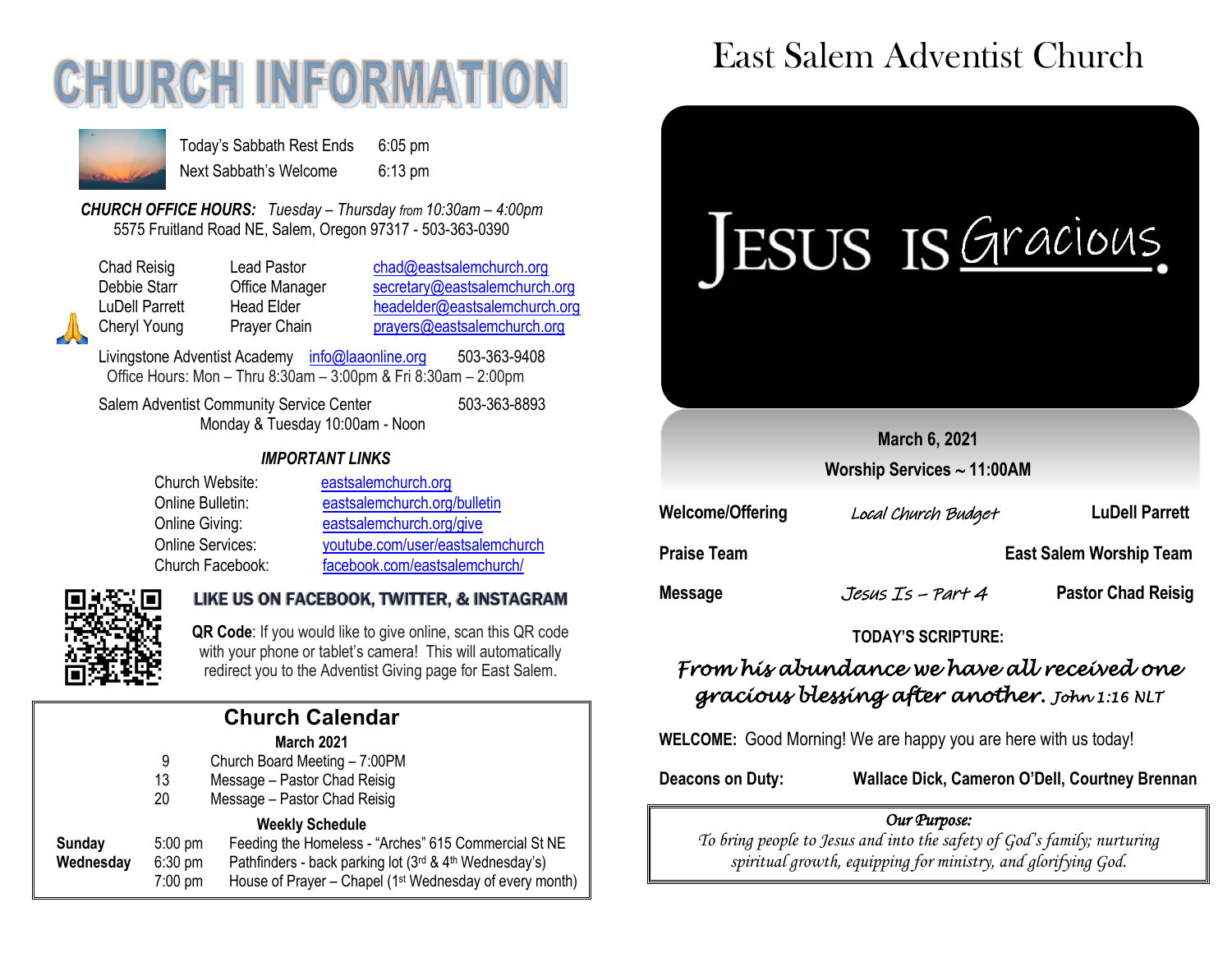## **CHURCH INFORMATI**



Today's Sabbath Rest Ends 6:05 pm Next Sabbath's Welcome 6:13 pm

*CHURCH OFFICE HOURS: Tuesday – Thursday from 10:30am – 4:00pm* 5575 Fruitland Road NE, Salem, Oregon 97317 - 503-363-0390

Chad Reisig Chad Pastor Chad@eastsalemchurch.org Debbie Starr **Office Manager** [secretary@eastsalemchurch.org](mailto:secretary@eastsalemchurch.org) LuDell Parrett Head Elder [headelder@eastsalemchurch.org](mailto:headelder@eastsalemchurch.org) Cheryl Young Prayer Chain [prayers@eastsalemchurch.org](mailto:prayers@eastsalemchurch.org)

Livingstone Adventist Academy [info@laaonline.org](mailto:info@laaonline.org) 503-363-9408 Office Hours: Mon – Thru 8:30am – 3:00pm & Fri 8:30am – 2:00pm

Salem Adventist Community Service Center 503-363-8893 Monday & Tuesday 10:00am - Noon

#### *IMPORTANT LINKS*

| Church Website:  | eastsalemchurch.org              |
|------------------|----------------------------------|
| Online Bulletin: | eastsalemchurch.org/bulletin     |
| Online Giving:   | eastsalemchurch.org/give         |
| Online Services: | youtube.com/user/eastsalemchurch |
| Church Facebook: | facebook.com/eastsalemchurch/    |



#### LIKE US ON FACEBOOK, TWITTER, & INSTAGRAM

 **QR Code**: If you would like to give online, scan this QR code with your phone or tablet's camera! This will automatically redirect you to the Adventist Giving page for East Salem.

|  | <b>Church Calendar</b> |  |
|--|------------------------|--|
|  | March 2021             |  |

- 9 Church Board Meeting 7:00PM
- 13 Message Pastor Chad Reisig
- 20 Message Pastor Chad Reisig

#### **Weekly Schedule**

| Sunday    | $5:00 \text{ pm}$ | Feeding the Homeless - "Arches" 615 Commercial St NE                |
|-----------|-------------------|---------------------------------------------------------------------|
| Wednesdav | $6:30 \text{ pm}$ | Pathfinders - back parking lot (3rd & 4th Wednesday's)              |
|           | 7:00 pm           | House of Prayer – Chapel (1 <sup>st</sup> Wednesday of every month) |

### East Salem Adventist Church

# IESUS IS Gracious.

**March 6, 2021**

**Worship Services 11:00AM**

| <b>Welcome/Offering</b> | Local Church Budget | <b>LuDell Parrett</b>          |
|-------------------------|---------------------|--------------------------------|
| <b>Praise Team</b>      |                     | <b>East Salem Worship Team</b> |
| Message                 | Jesus Is – Part 4   | <b>Pastor Chad Reisig</b>      |

#### **TODAY'S SCRIPTURE:**

#### *From his abundance we have all received one gracious blessing after another. John 1:16 NLT*

**WELCOME:** Good Morning! We are happy you are here with us today!

**Deacons on Duty: Wallace Dick, Cameron O'Dell, Courtney Brennan**

#### *Our Purpose:*

*To bring people to Jesus and into the safety of God's family; nurturing spiritual growth, equipping for ministry, and glorifying God.*